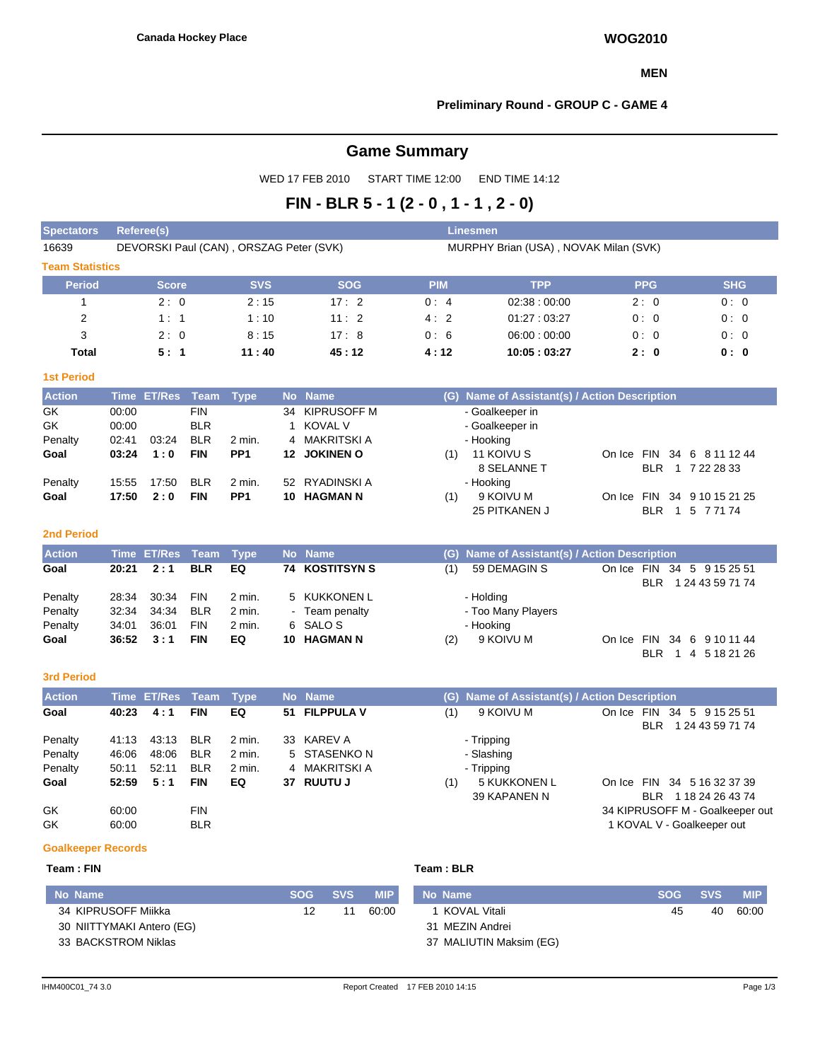#### **MEN**

#### **Preliminary Round - GROUP C - GAME 4**

# **Game Summary**

WED 17 FEB 2010 START TIME 12:00 END TIME 14:12

# **FIN - BLR 5 - 1 (2 - 0 , 1 - 1 , 2 - 0)**

| <b>Spectators</b>      | <b>Referee(s)</b>                       |            |            | <b>Linesmen</b> |                                                  |            |            |
|------------------------|-----------------------------------------|------------|------------|-----------------|--------------------------------------------------|------------|------------|
| 16639                  | DEVORSKI Paul (CAN), ORSZAG Peter (SVK) |            |            |                 | MURPHY Brian (USA), NOVAK Milan (SVK)            |            |            |
| <b>Team Statistics</b> |                                         |            |            |                 |                                                  |            |            |
| <b>Period</b>          | <b>Score</b>                            | <b>SVS</b> | <b>SOG</b> | <b>PIM</b>      | <b>TPP</b>                                       | <b>PPG</b> | <b>SHG</b> |
|                        | 2:0                                     | 2:15       | 17:2       | 0:4             | 02:38:00:00                                      | 2:0        | 0:0        |
| 2                      | 1:1                                     | 1:10       | 11:2       | 4:2             | 01:27:03:27                                      | 0:0        | 0:0        |
| 3                      | 2:0                                     | 8:15       | 17:8       | 0:6             | 06:00:00:00                                      | 0:0        | 0:0        |
| <b>Total</b>           | 5:1                                     | 11:40      | 45:12      | 4:12            | 10:05:03:27                                      | 2:0        | 0: 0       |
| <b>1st Period</b>      |                                         |            |            |                 |                                                  |            |            |
| <b>Action</b>          | Time ET/Res<br>Team                     | Type       | No Name    | (G)             | <b>Name of Assistant(s) / Action Description</b> |            |            |

| <b>Action</b> |       | Time ET/Res Team Type, |            |                 | No Name        | (G) Name of Assistant(s) / Action Description   |  |
|---------------|-------|------------------------|------------|-----------------|----------------|-------------------------------------------------|--|
| GK            | 00:00 |                        | <b>FIN</b> |                 | 34 KIPRUSOFF M | - Goalkeeper in                                 |  |
| GK            | 00:00 |                        | <b>BLR</b> |                 | 1 KOVAL V      | - Goalkeeper in                                 |  |
| Penalty       | 02:41 | 03:24                  | <b>BLR</b> | 2 min.          | 4 MAKRITSKI A  | - Hooking                                       |  |
| Goal          | 03:24 | 1:0                    | <b>FIN</b> | PP <sub>1</sub> | 12 JOKINEN O   | 11 KOIVU S<br>On Ice FIN 34 6 8 11 12 44<br>(1) |  |
|               |       |                        |            |                 |                | 8 SELANNE T<br>BLR 1 7 22 28 33                 |  |
| Penalty       | 15:55 | 17:50                  | <b>BLR</b> | 2 min.          | 52 RYADINSKI A | - Hooking                                       |  |
| Goal          | 17:50 | 2:0                    | <b>FIN</b> | PP <sub>1</sub> | 10 HAGMAN N    | On Ice FIN 34 9 10 15 21 25<br>9 KOIVU M<br>(1) |  |
|               |       |                        |            |                 |                | 25 PITKANEN J<br>BLR 1 5 7 71 74                |  |

#### **2nd Period**

| <b>Action</b> |       | Time ET/Res Team Type |            |          | No Name               |     | (G) Name of Assistant(s) / Action Description |                            |
|---------------|-------|-----------------------|------------|----------|-----------------------|-----|-----------------------------------------------|----------------------------|
| Goal          |       | $20:21$ $2:1$         | <b>BLR</b> | EQ       | <b>74 KOSTITSYN S</b> | (1) | 59 DEMAGIN S                                  | On Ice FIN 34 5 9 15 25 51 |
|               |       |                       |            |          |                       |     |                                               | 1 24 43 59 71 74<br>BLR.   |
| Penalty       | 28:34 | 30.34                 | <b>FIN</b> | $2$ min. | 5 KUKKONEN L          |     | - Holding                                     |                            |
| Penalty       | 32:34 | 34:34                 | <b>BLR</b> | 2 min.   | - Team penalty        |     | - Too Many Players                            |                            |
| Penalty       | 34:01 | 36:01                 | <b>FIN</b> | 2 min.   | 6 SALOS               |     | - Hooking                                     |                            |
| Goal          | 36:52 | 3:1                   | <b>FIN</b> | EQ       | 10 HAGMAN N           | (2) | 9 KOIVU M                                     | On Ice FIN 34 6 9 10 11 44 |

## **3rd Period**

| <b>Action</b> |       | Time ET/Res Team |            | Type     |     | No Name        | (G) Name of Assistant(s) / Action Description                                                     |
|---------------|-------|------------------|------------|----------|-----|----------------|---------------------------------------------------------------------------------------------------|
| Goal          | 40:23 | 4:1              | <b>FIN</b> | EQ       |     | 51 FILPPULA V  | (1)<br>9 KOIVU M<br><b>FIN</b><br>34 5 9 15 25 51<br>On Ice<br>1 24 43 59 71 74<br><b>BLR</b>     |
| Penalty       | 41:13 | 43:13            | <b>BLR</b> | $2$ min. | 33  | KAREV A        | - Tripping                                                                                        |
| Penalty       | 46:06 | 48:06            | <b>BLR</b> | 2 min.   |     | 5 STASENKO N   | - Slashing                                                                                        |
| Penalty       | 50:11 | 52:11            | <b>BLR</b> | 2 min.   |     | 4 MAKRITSKI A  | - Tripping                                                                                        |
| Goal          | 52:59 | 5:1              | <b>FIN</b> | EQ       | 37. | <b>RUUTU J</b> | <b>5 KUKKONEN L</b><br>On Ice FIN 34 5 16 32 37 39<br>(1)<br>39 KAPANEN N<br>BLR 1 18 24 26 43 74 |
| GK            | 60:00 |                  | <b>FIN</b> |          |     |                | 34 KIPRUSOFF M - Goalkeeper out                                                                   |
| GK            | 60:00 |                  | <b>BLR</b> |          |     |                | 1 KOVAL V - Goalkeeper out                                                                        |

## **Goalkeeper Records**

## **Team : FIN Team : BLR**

**No Name SOG SVS MIP** 34 KIPRUSOFF Miikka 30 NIITTYMAKI Antero (EG) 33 BACKSTROM Niklas 12 11 60:00 **No Name SOG SVS MIP** 1 KOVAL Vitali 31 MEZIN Andrei 37 MALIUTIN Maksim (EG) 45 40 60:00

BLR 1 4 5 18 21 26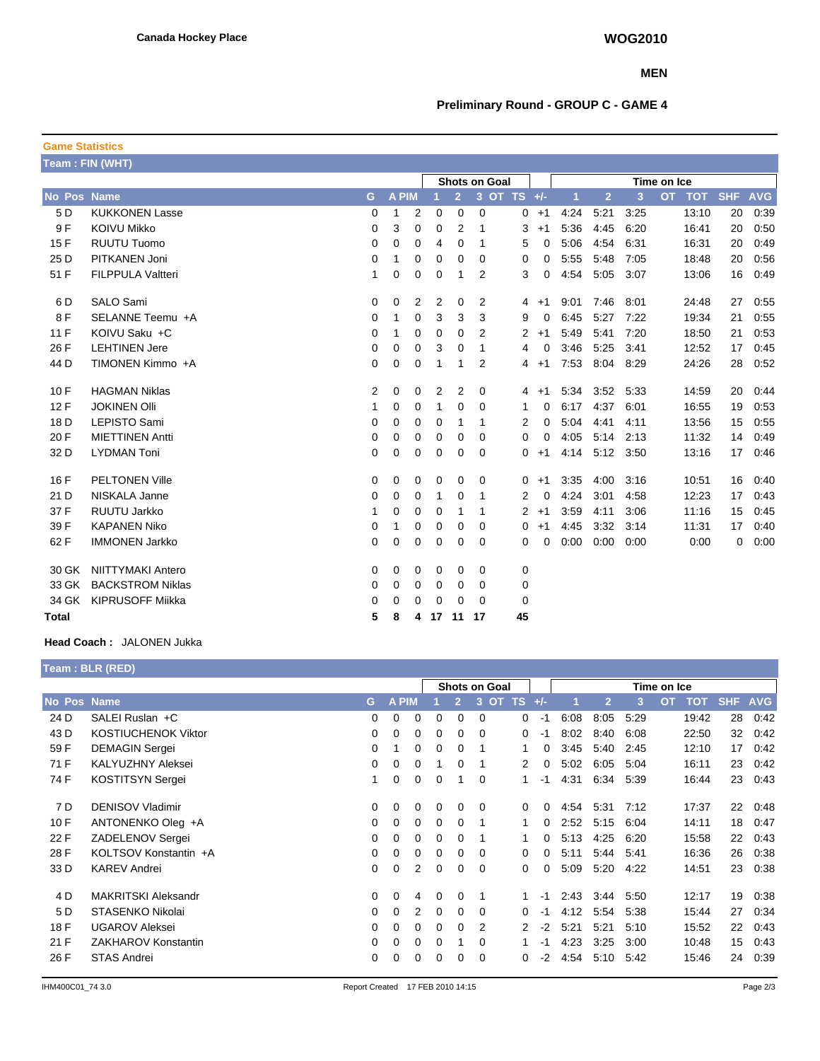## **MEN**

# **Preliminary Round - GROUP C - GAME 4**

| <b>Game Statistics</b> |                          |                |       |                |                      |                |                |             |    |         |      |                |      |           |            |            |            |
|------------------------|--------------------------|----------------|-------|----------------|----------------------|----------------|----------------|-------------|----|---------|------|----------------|------|-----------|------------|------------|------------|
|                        | Team: FIN (WHT)          |                |       |                |                      |                |                |             |    |         |      |                |      |           |            |            |            |
|                        |                          |                |       |                | <b>Shots on Goal</b> |                |                |             |    |         |      | Time on Ice    |      |           |            |            |            |
| <b>No Pos Name</b>     |                          | G              | A PIM |                |                      | $\overline{2}$ |                | 3 OT TS +/- |    |         | 1    | $\overline{2}$ | 3    | <b>OT</b> | <b>TOT</b> | <b>SHF</b> | <b>AVG</b> |
| 5 D                    | <b>KUKKONEN Lasse</b>    | 0              | 1     | $\overline{2}$ | 0                    | 0              | 0              |             |    | $0 + 1$ | 4:24 | 5:21           | 3:25 |           | 13:10      | 20         | 0:39       |
| 9 F                    | <b>KOIVU Mikko</b>       | 0              | 3     | 0              | 0                    | 2              | 1              |             | 3  | $+1$    | 5:36 | 4:45           | 6:20 |           | 16:41      | 20         | 0:50       |
| 15F                    | <b>RUUTU Tuomo</b>       | 0              | 0     | 0              | 4                    | 0              | 1              |             | 5  | 0       | 5:06 | 4:54           | 6:31 |           | 16:31      | 20         | 0:49       |
| 25 D                   | PITKANEN Joni            | 0              | 1     | $\mathbf 0$    | 0                    | 0              | 0              |             | 0  | 0       | 5:55 | 5:48           | 7:05 |           | 18:48      | 20         | 0:56       |
| 51 F                   | <b>FILPPULA Valtteri</b> | 1              | 0     | 0              | 0                    | 1              | 2              |             | 3  | 0       | 4:54 | 5:05           | 3:07 |           | 13:06      | 16         | 0:49       |
| 6 D                    | <b>SALO Sami</b>         | $\overline{0}$ | 0     | 2              | 2                    | $\mathbf 0$    | 2              |             | 4  | $+1$    | 9:01 | 7:46           | 8:01 |           | 24:48      | 27         | 0:55       |
| 8F                     | SELANNE Teemu +A         | 0              | 1     | 0              | 3                    | 3              | 3              |             | 9  | 0       | 6:45 | 5:27           | 7:22 |           | 19:34      | 21         | 0:55       |
| 11F                    | KOIVU Saku +C            | 0              | 1     | 0              | 0                    | 0              | 2              |             | 2  | $+1$    | 5:49 | 5:41           | 7:20 |           | 18:50      | 21         | 0:53       |
| 26 F                   | <b>LEHTINEN Jere</b>     | 0              | 0     | 0              | 3                    | 0              | 1              |             | 4  | 0       | 3:46 | 5:25           | 3:41 |           | 12:52      | 17         | 0:45       |
| 44 D                   | TIMONEN Kimmo +A         | 0              | 0     | 0              | 1                    | 1              | $\overline{2}$ |             | 4  | $+1$    | 7:53 | 8:04           | 8:29 |           | 24:26      | 28         | 0:52       |
| 10F                    | <b>HAGMAN Niklas</b>     | 2              | 0     | 0              | 2                    | 2              | 0              |             | 4  | $+1$    | 5:34 | 3:52           | 5:33 |           | 14:59      | 20         | 0:44       |
| 12F                    | <b>JOKINEN OIII</b>      | 1              | 0     | 0              | 1                    | 0              | 0              |             | 1  | 0       | 6:17 | 4:37           | 6:01 |           | 16:55      | 19         | 0.53       |
| 18 D                   | LEPISTO Sami             | 0              | 0     | 0              | 0                    | 1              | 1              |             | 2  | 0       | 5:04 | 4:41           | 4:11 |           | 13:56      | 15         | 0:55       |
| 20 F                   | <b>MIETTINEN Antti</b>   | 0              | 0     | 0              | 0                    | 0              | 0              |             | 0  | 0       | 4:05 | 5:14           | 2:13 |           | 11:32      | 14         | 0:49       |
| 32 D                   | <b>LYDMAN Toni</b>       | 0              | 0     | 0              | 0                    | 0              | 0              |             | 0  | $+1$    | 4:14 | 5:12           | 3:50 |           | 13:16      | 17         | 0:46       |
| 16 F                   | <b>PELTONEN Ville</b>    | 0              | 0     | 0              | 0                    | 0              | 0              |             | 0  | $+1$    | 3:35 | 4:00           | 3:16 |           | 10:51      | 16         | 0:40       |
| 21 D                   | NISKALA Janne            | 0              | 0     | 0              | 1                    | 0              | 1              |             | 2  | 0       | 4:24 | 3:01           | 4:58 |           | 12:23      | 17         | 0:43       |
| 37 F                   | RUUTU Jarkko             | 1              | 0     | 0              | 0                    | 1              | 1              |             | 2  | $+1$    | 3:59 | 4:11           | 3:06 |           | 11:16      | 15         | 0:45       |
| 39 F                   | <b>KAPANEN Niko</b>      | 0              | 1     | 0              | 0                    | 0              | 0              |             | 0  | $+1$    | 4:45 | 3:32           | 3:14 |           | 11:31      | 17         | 0:40       |
| 62 F                   | <b>IMMONEN Jarkko</b>    | 0              | 0     | 0              | 0                    | 0              | 0              |             | 0  | 0       | 0:00 | 0:00           | 0:00 |           | 0:00       | 0          | 0:00       |
| 30 GK                  | <b>NIITTYMAKI Antero</b> | 0              | 0     | 0              | 0                    | 0              | 0              |             | 0  |         |      |                |      |           |            |            |            |
| 33 GK                  | <b>BACKSTROM Niklas</b>  | 0              | 0     | 0              | 0                    | 0              | 0              |             | 0  |         |      |                |      |           |            |            |            |
| 34 GK                  | <b>KIPRUSOFF Mijkka</b>  | 0              | 0     | 0              | 0                    | 0              | $\Omega$       |             | 0  |         |      |                |      |           |            |            |            |
| <b>Total</b>           |                          | 5              | 8     | 4              | 17                   | 11             | 17             |             | 45 |         |      |                |      |           |            |            |            |

# **Head Coach :** JALONEN Jukka

|             | Team: BLR (RED)            |          |              |                |          |              |                      |          |          |      |                |      |                         |            |            |
|-------------|----------------------------|----------|--------------|----------------|----------|--------------|----------------------|----------|----------|------|----------------|------|-------------------------|------------|------------|
|             |                            |          |              |                |          |              | <b>Shots on Goal</b> |          |          |      |                |      | Time on Ice             |            |            |
| No Pos Name |                            | G        | <b>A PIM</b> |                |          | $\mathbf{2}$ | 3<br><b>OT</b>       | TS.      | $+/-$    |      | $\overline{2}$ | 3    | <b>OT</b><br><b>TOT</b> | <b>SHF</b> | <b>AVG</b> |
| 24 D        | SALEI Ruslan +C            | $\Omega$ | 0            | $\Omega$       | $\Omega$ | $\Omega$     | $\Omega$             | 0        | -1       | 6:08 | 8:05           | 5.29 | 19:42                   | 28         | 0:42       |
| 43 D        | <b>KOSTIUCHENOK Viktor</b> | 0        | 0            | 0              | $\Omega$ | 0            | $\Omega$             | 0        | -1       | 8:02 | 8:40           | 6:08 | 22:50                   | 32         | 0.42       |
| 59 F        | <b>DEMAGIN Sergei</b>      | 0        |              | 0              | 0        | 0            |                      | 1.       | 0        | 3:45 | 5:40           | 2:45 | 12:10                   | 17         | 0:42       |
| 71 F        | <b>KALYUZHNY Aleksei</b>   | $\Omega$ | 0            | 0              |          | 0            |                      | 2        | 0        | 5:02 | 6:05           | 5:04 | 16:11                   | 23         | 0.42       |
| 74 F        | <b>KOSTITSYN Sergei</b>    |          | 0            | 0              | $\Omega$ | 1            | 0                    | 1        | $-1$     | 4:31 | 6:34           | 5:39 | 16:44                   | 23         | 0:43       |
| 7 D         | <b>DENISOV Vladimir</b>    | 0        | 0            | 0              | 0        | 0            | $\Omega$             | 0        | 0        | 4:54 | 5:31           | 7:12 | 17:37                   | 22         | 0:48       |
| 10F         | ANTONENKO Oleg +A          | $\Omega$ | 0            | 0              | $\Omega$ | 0            |                      | 1        | 0        | 2:52 | 5:15           | 6:04 | 14:11                   | 18         | 0:47       |
| 22 F        | ZADELENOV Sergei           | $\Omega$ | 0            | 0              | $\Omega$ | 0            |                      |          | $\Omega$ | 5:13 | 4:25           | 6:20 | 15:58                   | 22         | 0:43       |
| 28 F        | KOLTSOV Konstantin +A      | $\Omega$ | 0            | 0              | $\Omega$ | 0            | $\Omega$             | $\Omega$ | $\Omega$ | 5:11 | 5:44           | 5:41 | 16:36                   | 26         | 0:38       |
| 33 D        | <b>KAREV Andrei</b>        | $\Omega$ | 0            | $\overline{2}$ | $\Omega$ | 0            | 0                    | 0        | 0        | 5:09 | 5:20           | 4:22 | 14:51                   | 23         | 0:38       |
| 4 D         | MAKRITSKI Aleksandr        | $\Omega$ | 0            | 4              | $\Omega$ | $\Omega$     |                      |          | $-1$     | 2:43 | 3:44           | 5:50 | 12:17                   | 19         | 0:38       |
| 5 D         | STASENKO Nikolai           | 0        | 0            | 2              | $\Omega$ | 0            | $\Omega$             | 0        | -1       | 4:12 | 5:54           | 5:38 | 15:44                   | 27         | 0:34       |
| 18 F        | <b>UGAROV Aleksei</b>      | 0        | 0            | 0              | 0        | 0            | 2                    | 2        | $-2$     | 5:21 | 5:21           | 5:10 | 15:52                   | 22         | 0:43       |
| 21 F        | ZAKHAROV Konstantin        | 0        | 0            | 0              | 0        |              | 0                    |          | -1       | 4.23 | 3:25           | 3:00 | 10:48                   | 15         | 0:43       |
| 26 F        | <b>STAS Andrei</b>         | 0        | 0            | 0              | $\Omega$ | 0            | 0                    | 0        | $-2$     | 4.54 | 5:10           | 5:42 | 15:46                   | 24         | 0:39       |